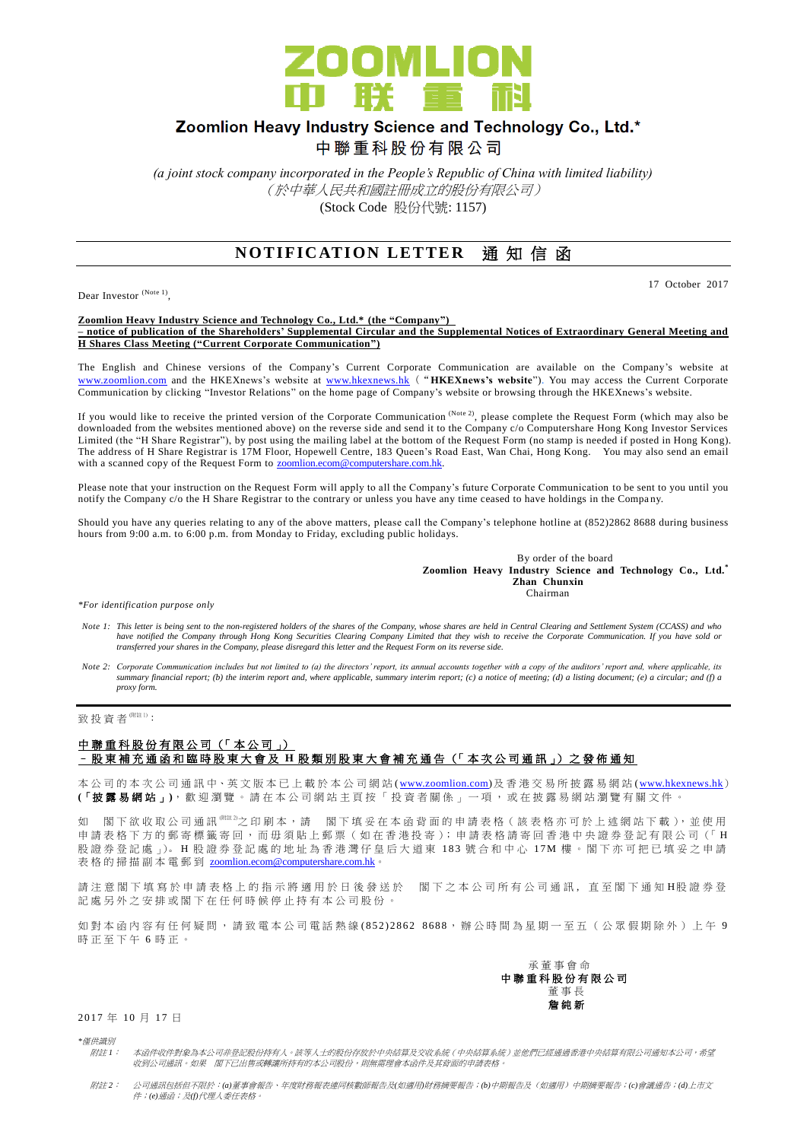

# Zoomlion Heavy Industry Science and Technology Co., Ltd.\*

中聯重科股份有限公司

*(a joint stock company incorporated in the People's Republic of China with limited liability)* (於中華人民共和國註冊成立的股份有限公司) (Stock Code 股份代號: 1157)

## **NOTIFICATION LETTER 通知信函**

Dear Investor (Note 1),

17 October 2017

**Zoomlion Heavy Industry Science and Technology Co., Ltd.\* (the "Company") – notice of publication of the Shareholders' Supplemental Circular and the Supplemental Notices of Extraordinary General Meeting and H Shares Class Meeting ("Current Corporate Communication")**

The English and Chinese versions of the Company's Current Corporate Communication are available on the Company's website at [www.zoomlion.com](http://www.zoomlion.com/) and the HKEXnews's website at [www.hkexnews.hk](http://www.hkexnews.hk/) ("**HKEXnews's website**"). You may access the Current Corporate Communication by clicking "Investor Relations" on the home page of Company's website or browsing through the HKEXnews's website.

If you would like to receive the printed version of the Corporate Communication  $^{(Note 2)}$ , please complete the Request Form (which may also be downloaded from the websites mentioned above) on the reverse side and send it to the Company c/o Computershare Hong Kong Investor Services Limited (the "H Share Registrar"), by post using the mailing label at the bottom of the Request Form (no stamp is needed if posted in Hong Kong). The address of H Share Registrar is 17M Floor, Hopewell Centre, 183 Queen's Road East, Wan Chai, Hong Kong. You may also send an email with a scanned copy of the Request Form to **zoomlion.ecom@computershare.com.hk.** 

Please note that your instruction on the Request Form will apply to all the Company's future Corporate Communication to be sent to you until you notify the Company c/o the H Share Registrar to the contrary or unless you have any time ceased to have holdings in the Compa ny.

Should you have any queries relating to any of the above matters, please call the Company's telephone hotline at (852)2862 8688 during business hours from 9:00 a.m. to 6:00 p.m. from Monday to Friday, excluding public holidays.

> By order of the board **Zoomlion Heavy Industry Science and Technology Co., Ltd.\* Zhan Chunxin**<br>Chairman Chairman

*\*For identification purpose only*

- Note 1: This letter is being sent to the non-registered holders of the shares of the Company, whose shares are held in Central Clearing and Settlement System (CCASS) and who<br>have notified the Company through Hong Kong Secu *transferred your shares in the Company, please disregard this letter and the Request Form on its reverse side.*
- *Note 2: Corporate Communication includes but not limited to (a) the directors' report, its annual accounts together with a copy of the auditors' report and, where applicable, its summary financial report; (b) the interim report and, where applicable, summary interim report; (c) a notice of meeting; (d) a listing document; (e) a circular; and (f) a proxy form.*

致投資者 $<sup>(Mät1)</sup>$ :</sup>

### 中聯重科股份有限公司 (「本公司」) – 股 東 補 充 通 函 和 臨 時 股 東 大 會 及 **H** 股 類 別 股 東 大 會 補 充 通 告 (「 本 次 公 司 通 訊 」) 之 發 佈 通 知

本公司的 本 次 公 司 通 訊 中、英 文 版 本 已 上 載於本 公 司 網 站 [\(www.zoomlion.com\)](http://www.zoomlion.com/)及香港交易所披露易網站 [\(www.hkexnews.hk](http://www.hkexnews.hk/)) **(**「披露易網站 」**)**,歡迎瀏覽。 請 在 本 公 司 網 站 主 頁 按 「 投 資 者 關 係 」 一 項 , 或 在 披 露 易 網 站 瀏 覽 有 關 文 件 。

如 閣下欲收取公司通訊<sup>《註2</sup>之印刷本,請 閣下填妥在本函背面的申請表格(該表格亦可於上述網站下載),並使用 申請表格下方的郵寄標籤寄回,而毋須貼上郵票(如在香港投寄);申請表格請寄回香港中央證券登記有限公司(「H 股證券登記處 」)。H股證券登記處的地址為香港灣仔皇后大道東 183號合和中心 17M樓。閣下亦可把已填妥之申請 表格的掃描副本電郵到 [zoomlion.ecom@computershare.com.hk](mailto:zoomlion.ecom@computershare.com.hk)。

請 注 意 閣 下 埴 寫 於 申 譜 表 格 上 的 指 示 將 滴 用 於 日 後 發 送 於 閣 下 之 本 公 司 所 有 公 司 诵 訊 , 直 至 閣 下 诵 知 H 股 證 券 登 記處另外之安排或閣下在任何時候停止持有本公司股份。

如對本函內容有任何疑問,請致電本公司電話熱線(852) 2862 8688,辦公時間為星期一至五(公眾假期除外)上午 9 時正至下午 6 時正。



2017 年 10 月 17 日

*\**僅供識別

附註 *1*: 本函件收件對象為本公司非登記股份持有人。該等人士的股份存放於中央結算及交收系統(中央結算系統)並他們已經通過香港中央結算有限公司通知本公司,希望 收到公司通訊。如果 閣下已出售或轉讓所持有的本公司股份,則無需理會本函件及其背面的申請表格。

附註 *2*: 公司通訊包括但不限於:*(a)*董事會報告、年度財務報表連同核數師報告及*(*如適用*)*財務摘要報告;*(b)*中期報告及(如適用)中期摘要報告;*(c)*會議通告;*(d)*上市文 件;*(e)*通函;及*(f)*代理人委任表格。